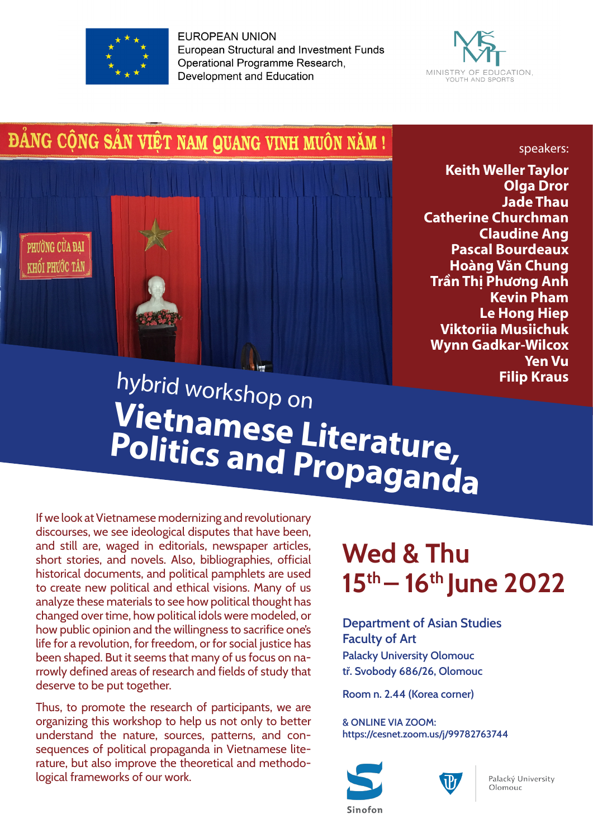

**EUROPEAN UNION European Structural and Investment Funds** Operational Programme Research, **Development and Education** 



# ĐẢNG CỘNG SẢN VIỆT NAM QUANG VINH MUÔN NĂM!



**Keith Weller Taylor Olga Dror Jade Thau Catherine Churchman Claudine Ang Pascal Bourdeaux Hoàng Văn Chung Trần Thị Phương Anh Kevin Pham Le Hong Hiep Viktoriia Musiichuk Wynn Gadkar-Wilcox Yen Vu Filip Kraus**

speakers:

# hybrid workshop on **Vietnamese Literature, Politics and Propaganda**

If we look at Vietnamese modernizing and revolutionary discourses, we see ideological disputes that have been, and still are, waged in editorials, newspaper articles, short stories, and novels. Also, bibliographies, official historical documents, and political pamphlets are used to create new political and ethical visions. Many of us analyze these materials to see how political thought has changed over time, how political idols were modeled, or how public opinion and the willingness to sacrifice one's life for a revolution, for freedom, or for social justice has been shaped. But it seems that many of us focus on narrowly defined areas of research and fields of study that deserve to be put together.

Thus, to promote the research of participants, we are organizing this workshop to help us not only to better understand the nature, sources, patterns, and consequences of political propaganda in Vietnamese literature, but also improve the theoretical and methodological frameworks of our work.

# **Wed & Thu 15th – 16th June 2022**

**Department of Asian Studies Faculty of Art Palacky University Olomouc tř. Svobody ǿȁǿ/2ǿ, Olomouc**

**Room n. 2.44 (Korea corner)**

**& ONLINE VIA ZOOM:**  https://cesnet.zoom.us/j/99782763744





Palacký University Olomouc

Sinofon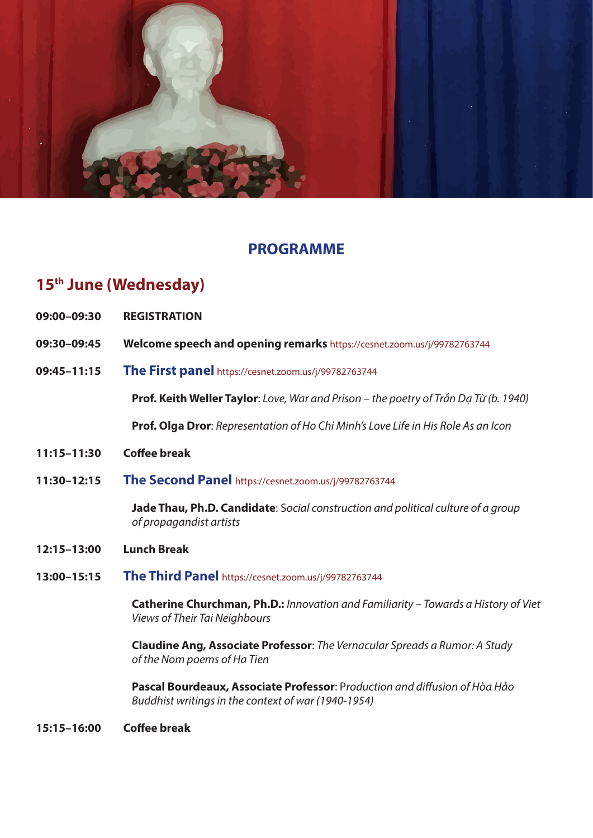

## **PROGRAMME**

# **15th June (Wednesday)**

- **09:00–09:30 REGISTRATION**
- **09:30–09:45 Welcome speech and opening remarks** https://cesnet.zoom.us/j/99782763744
- **09:45–11:15 The First panel** https://cesnet.zoom.us/j/99782763744

**Prof. Keith Weller Taylor**: *Love, War and Prison – the poetry of Tr*ầ*n D*ạ *T*ừ *(b. 1940)*

**Prof. Olga Dror**: *Representation of Ho Chi Minh's Love Life in His Role As an Icon*

- **11:15–11:30 Co&ee break**
- **11:30–12:15 The Second Panel** https://cesnet.zoom.us/j/99782763744

**Jade Thau, Ph.D. Candidate**: S*ocial construction and political culture of a group of propagandist artists*

- **12:15–13:00 Lunch Break**
- **13:00–15:15 The Third Panel** https://cesnet.zoom.us/j/99782763744

**Catherine Churchman, Ph.D.:** *Innovation and Familiarity – Towards a History of Viet Views of Their Tai Neighbours*

**Claudine Ang, Associate Professor**: *The Vernacular Spreads a Rumor: A Study of the Nom poems of Ha Tien*

**Pascal Bourdeaux, Associate Professor**: Production and diffusion of Hòa Hảo *Buddhist writings in the context of war (1940-1954)*

**15:15–16:00 Co&ee break**